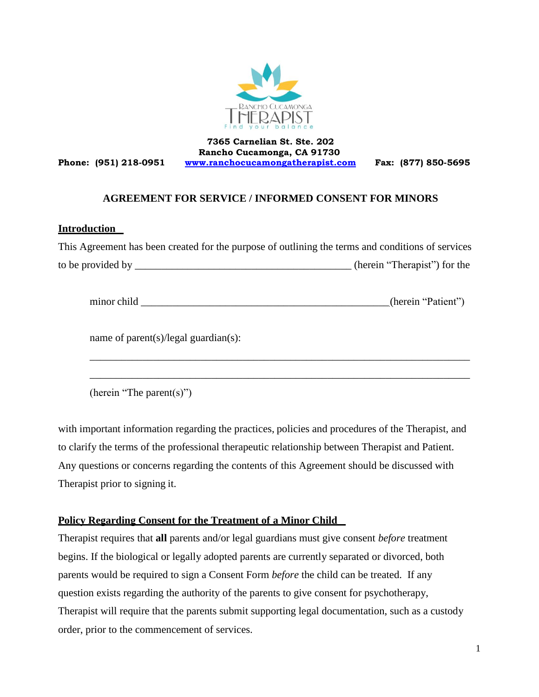

**Phone: (951) 218-0951**

**7365 Carnelian St. Ste. 202 Rancho Cucamonga, CA 91730 [www.ranchocucamongatherapist.com](http://www.ranchocucamongatherapist.com/) Fax: (877) 850-5695**

# **AGREEMENT FOR SERVICE / INFORMED CONSENT FOR MINORS**

## **Introduction**

| This Agreement has been created for the purpose of outlining the terms and conditions of services |                              |
|---------------------------------------------------------------------------------------------------|------------------------------|
|                                                                                                   | (herein "Therapist") for the |
| minor child                                                                                       | (herein "Patient")           |
| name of parent $(s)/\text{legal}$ guardian $(s)$ :                                                |                              |
|                                                                                                   |                              |

(herein "The parent(s)")

with important information regarding the practices, policies and procedures of the Therapist, and to clarify the terms of the professional therapeutic relationship between Therapist and Patient. Any questions or concerns regarding the contents of this Agreement should be discussed with Therapist prior to signing it.

## **Policy Regarding Consent for the Treatment of a Minor Child**

Therapist requires that **all** parents and/or legal guardians must give consent *before* treatment begins. If the biological or legally adopted parents are currently separated or divorced, both parents would be required to sign a Consent Form *before* the child can be treated. If any question exists regarding the authority of the parents to give consent for psychotherapy, Therapist will require that the parents submit supporting legal documentation, such as a custody order, prior to the commencement of services.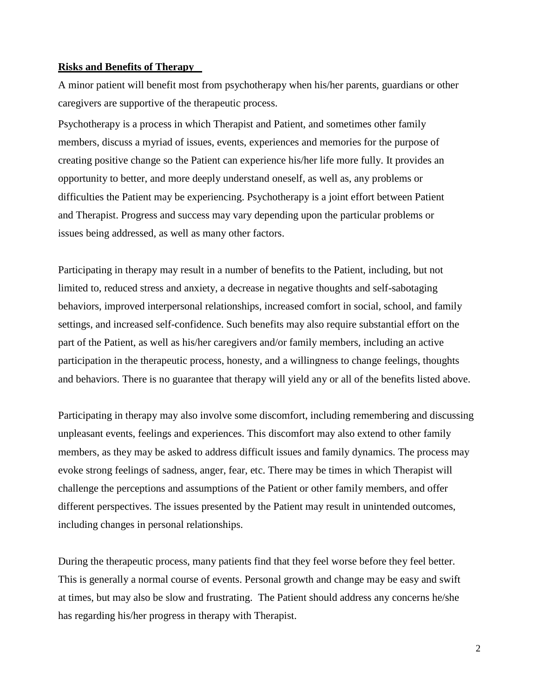#### **Risks and Benefits of Therapy**

A minor patient will benefit most from psychotherapy when his/her parents, guardians or other caregivers are supportive of the therapeutic process.

Psychotherapy is a process in which Therapist and Patient, and sometimes other family members, discuss a myriad of issues, events, experiences and memories for the purpose of creating positive change so the Patient can experience his/her life more fully. It provides an opportunity to better, and more deeply understand oneself, as well as, any problems or difficulties the Patient may be experiencing. Psychotherapy is a joint effort between Patient and Therapist. Progress and success may vary depending upon the particular problems or issues being addressed, as well as many other factors.

Participating in therapy may result in a number of benefits to the Patient, including, but not limited to, reduced stress and anxiety, a decrease in negative thoughts and self-sabotaging behaviors, improved interpersonal relationships, increased comfort in social, school, and family settings, and increased self-confidence. Such benefits may also require substantial effort on the part of the Patient, as well as his/her caregivers and/or family members, including an active participation in the therapeutic process, honesty, and a willingness to change feelings, thoughts and behaviors. There is no guarantee that therapy will yield any or all of the benefits listed above.

Participating in therapy may also involve some discomfort, including remembering and discussing unpleasant events, feelings and experiences. This discomfort may also extend to other family members, as they may be asked to address difficult issues and family dynamics. The process may evoke strong feelings of sadness, anger, fear, etc. There may be times in which Therapist will challenge the perceptions and assumptions of the Patient or other family members, and offer different perspectives. The issues presented by the Patient may result in unintended outcomes, including changes in personal relationships.

During the therapeutic process, many patients find that they feel worse before they feel better. This is generally a normal course of events. Personal growth and change may be easy and swift at times, but may also be slow and frustrating. The Patient should address any concerns he/she has regarding his/her progress in therapy with Therapist.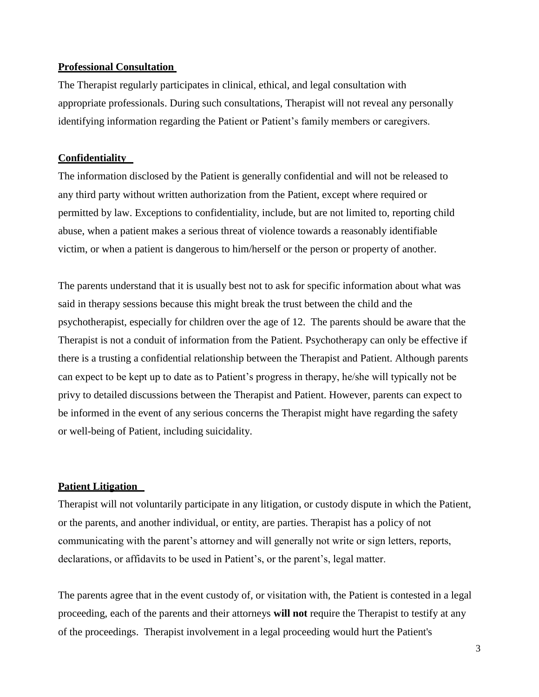#### **Professional Consultation**

The Therapist regularly participates in clinical, ethical, and legal consultation with appropriate professionals. During such consultations, Therapist will not reveal any personally identifying information regarding the Patient or Patient's family members or caregivers.

#### **Confidentiality**

The information disclosed by the Patient is generally confidential and will not be released to any third party without written authorization from the Patient, except where required or permitted by law. Exceptions to confidentiality, include, but are not limited to, reporting child abuse, when a patient makes a serious threat of violence towards a reasonably identifiable victim, or when a patient is dangerous to him/herself or the person or property of another.

The parents understand that it is usually best not to ask for specific information about what was said in therapy sessions because this might break the trust between the child and the psychotherapist, especially for children over the age of 12. The parents should be aware that the Therapist is not a conduit of information from the Patient. Psychotherapy can only be effective if there is a trusting a confidential relationship between the Therapist and Patient. Although parents can expect to be kept up to date as to Patient's progress in therapy, he/she will typically not be privy to detailed discussions between the Therapist and Patient. However, parents can expect to be informed in the event of any serious concerns the Therapist might have regarding the safety or well-being of Patient, including suicidality.

## **Patient Litigation**

Therapist will not voluntarily participate in any litigation, or custody dispute in which the Patient, or the parents, and another individual, or entity, are parties. Therapist has a policy of not communicating with the parent's attorney and will generally not write or sign letters, reports, declarations, or affidavits to be used in Patient's, or the parent's, legal matter.

The parents agree that in the event custody of, or visitation with, the Patient is contested in a legal proceeding, each of the parents and their attorneys **will not** require the Therapist to testify at any of the proceedings. Therapist involvement in a legal proceeding would hurt the Patient's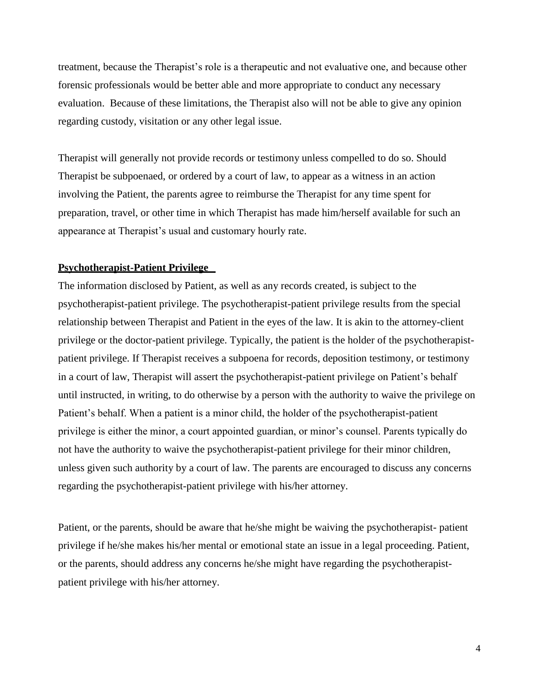treatment, because the Therapist's role is a therapeutic and not evaluative one, and because other forensic professionals would be better able and more appropriate to conduct any necessary evaluation. Because of these limitations, the Therapist also will not be able to give any opinion regarding custody, visitation or any other legal issue.

Therapist will generally not provide records or testimony unless compelled to do so. Should Therapist be subpoenaed, or ordered by a court of law, to appear as a witness in an action involving the Patient, the parents agree to reimburse the Therapist for any time spent for preparation, travel, or other time in which Therapist has made him/herself available for such an appearance at Therapist's usual and customary hourly rate.

#### **Psychotherapist-Patient Privilege**

The information disclosed by Patient, as well as any records created, is subject to the psychotherapist-patient privilege. The psychotherapist-patient privilege results from the special relationship between Therapist and Patient in the eyes of the law. It is akin to the attorney-client privilege or the doctor-patient privilege. Typically, the patient is the holder of the psychotherapistpatient privilege. If Therapist receives a subpoena for records, deposition testimony, or testimony in a court of law, Therapist will assert the psychotherapist-patient privilege on Patient's behalf until instructed, in writing, to do otherwise by a person with the authority to waive the privilege on Patient's behalf. When a patient is a minor child, the holder of the psychotherapist-patient privilege is either the minor, a court appointed guardian, or minor's counsel. Parents typically do not have the authority to waive the psychotherapist-patient privilege for their minor children, unless given such authority by a court of law. The parents are encouraged to discuss any concerns regarding the psychotherapist-patient privilege with his/her attorney.

Patient, or the parents, should be aware that he/she might be waiving the psychotherapist- patient privilege if he/she makes his/her mental or emotional state an issue in a legal proceeding. Patient, or the parents, should address any concerns he/she might have regarding the psychotherapistpatient privilege with his/her attorney.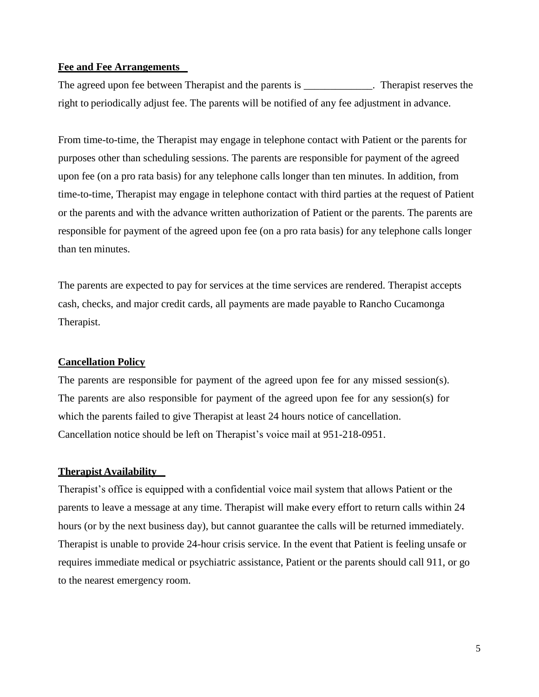## **Fee and Fee Arrangements**

The agreed upon fee between Therapist and the parents is \_\_\_\_\_\_\_\_\_\_\_\_. Therapist reserves the right to periodically adjust fee. The parents will be notified of any fee adjustment in advance.

From time-to-time, the Therapist may engage in telephone contact with Patient or the parents for purposes other than scheduling sessions. The parents are responsible for payment of the agreed upon fee (on a pro rata basis) for any telephone calls longer than ten minutes. In addition, from time-to-time, Therapist may engage in telephone contact with third parties at the request of Patient or the parents and with the advance written authorization of Patient or the parents. The parents are responsible for payment of the agreed upon fee (on a pro rata basis) for any telephone calls longer than ten minutes.

The parents are expected to pay for services at the time services are rendered. Therapist accepts cash, checks, and major credit cards, all payments are made payable to Rancho Cucamonga Therapist.

#### **Cancellation Policy**

The parents are responsible for payment of the agreed upon fee for any missed session(s). The parents are also responsible for payment of the agreed upon fee for any session(s) for which the parents failed to give Therapist at least 24 hours notice of cancellation. Cancellation notice should be left on Therapist's voice mail at 951-218-0951.

#### **Therapist Availability**

Therapist's office is equipped with a confidential voice mail system that allows Patient or the parents to leave a message at any time. Therapist will make every effort to return calls within 24 hours (or by the next business day), but cannot guarantee the calls will be returned immediately. Therapist is unable to provide 24-hour crisis service. In the event that Patient is feeling unsafe or requires immediate medical or psychiatric assistance, Patient or the parents should call 911, or go to the nearest emergency room.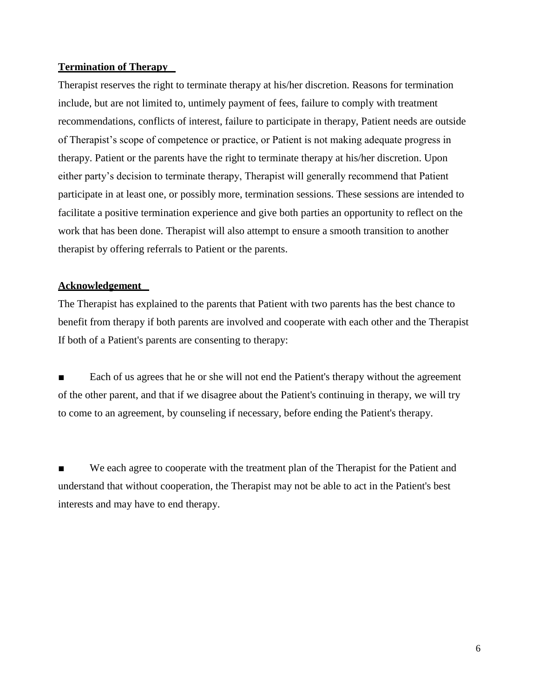## **Termination of Therapy**

Therapist reserves the right to terminate therapy at his/her discretion. Reasons for termination include, but are not limited to, untimely payment of fees, failure to comply with treatment recommendations, conflicts of interest, failure to participate in therapy, Patient needs are outside of Therapist's scope of competence or practice, or Patient is not making adequate progress in therapy. Patient or the parents have the right to terminate therapy at his/her discretion. Upon either party's decision to terminate therapy, Therapist will generally recommend that Patient participate in at least one, or possibly more, termination sessions. These sessions are intended to facilitate a positive termination experience and give both parties an opportunity to reflect on the work that has been done. Therapist will also attempt to ensure a smooth transition to another therapist by offering referrals to Patient or the parents.

# **Acknowledgement**

The Therapist has explained to the parents that Patient with two parents has the best chance to benefit from therapy if both parents are involved and cooperate with each other and the Therapist If both of a Patient's parents are consenting to therapy:

Each of us agrees that he or she will not end the Patient's therapy without the agreement of the other parent, and that if we disagree about the Patient's continuing in therapy, we will try to come to an agreement, by counseling if necessary, before ending the Patient's therapy.

We each agree to cooperate with the treatment plan of the Therapist for the Patient and understand that without cooperation, the Therapist may not be able to act in the Patient's best interests and may have to end therapy.